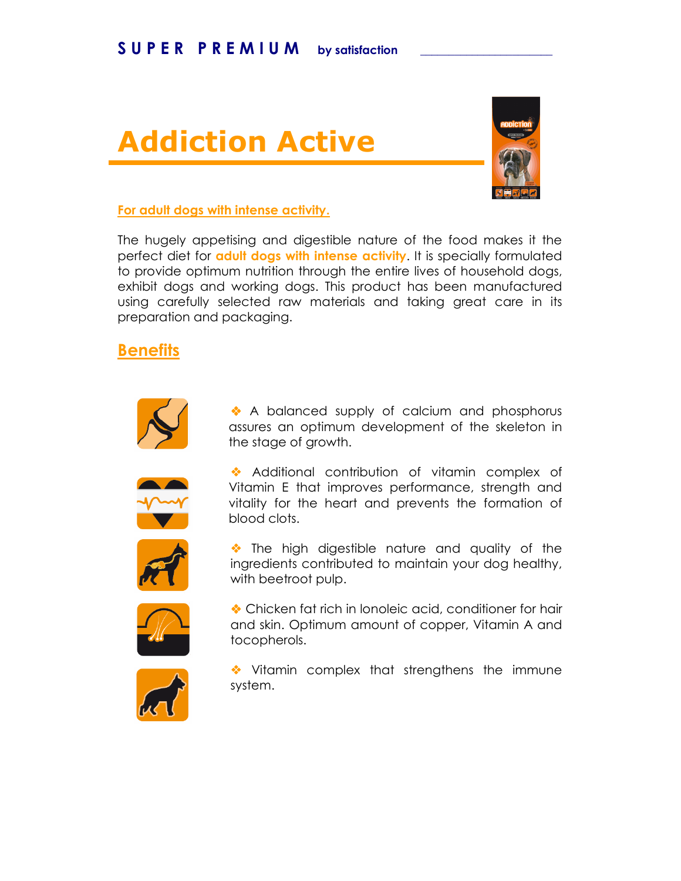# **Addiction Active**



#### For adult dogs with intense activity.

The hugely appetising and digestible nature of the food makes it the perfect diet for **adult dogs with intense activity**. It is specially formulated to provide optimum nutrition through the entire lives of household dogs, exhibit dogs and working dogs. This product has been manufactured using carefully selected raw materials and taking great care in its preparation and packaging.

### **Benefits**



A balanced supply of calcium and phosphorus assures an optimum development of the skeleton in the stage of growth.



Additional contribution of vitamin complex of Vitamin E that improves performance, strength and vitality for the heart and prevents the formation of blood clots.



• The high digestible nature and quality of the ingredients contributed to maintain your dog healthy, with beetroot pulp.



• Chicken fat rich in lonoleic acid, conditioner for hair and skin. Optimum amount of copper, Vitamin A and tocopherols.



Vitamin complex that strengthens the immune system.